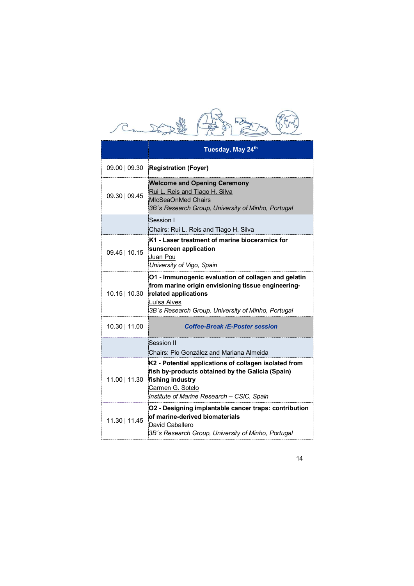|                 | Tuesday, May 24th                                                                                                                                                                                      |
|-----------------|--------------------------------------------------------------------------------------------------------------------------------------------------------------------------------------------------------|
| 09.00   09.30   | <b>Registration (Foyer)</b>                                                                                                                                                                            |
| 09.30   09.45   | <b>Welcome and Opening Ceremony</b><br>Rui L. Reis and Tiago H. Silva<br>MIcSeaOnMed Chairs<br>3B's Research Group, University of Minho, Portugal                                                      |
|                 | Session I<br>Chairs: Rui L. Reis and Tiago H. Silva                                                                                                                                                    |
| 09.45   10.15   | K1 - Laser treatment of marine bioceramics for<br>sunscreen application<br>Juan Pou<br>University of Vigo, Spain                                                                                       |
| $10.15$   10.30 | O1 - Immunogenic evaluation of collagen and gelatin<br>from marine origin envisioning tissue engineering-<br>related applications<br>Luísa Alves<br>3B's Research Group, University of Minho, Portugal |
| 10.30   11.00   | <b>Coffee-Break /E-Poster session</b>                                                                                                                                                                  |
|                 | Session II<br>Chairs: Pio González and Mariana Almeida                                                                                                                                                 |
| 11.00   11.30   | K2 - Potential applications of collagen isolated from<br>fish by-products obtained by the Galicia (Spain)<br>fishing industry<br>Carmen G. Sotelo<br>Institute of Marine Research - CSIC, Spain        |
| 11.30   11.45   | O2 - Designing implantable cancer traps: contribution<br>of marine-derived biomaterials<br>David Caballero<br>3B's Research Group, University of Minho, Portugal                                       |
|                 |                                                                                                                                                                                                        |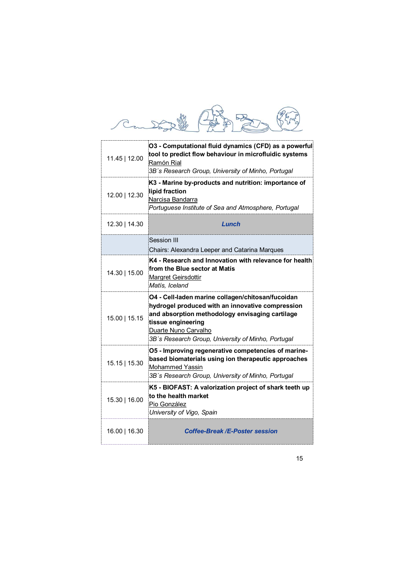| 11.45   12.00 | O3 - Computational fluid dynamics (CFD) as a powerful<br>tool to predict flow behaviour in microfluidic systems<br>Ramón Rial<br>3B's Research Group, University of Minho, Portugal                                                                          |
|---------------|--------------------------------------------------------------------------------------------------------------------------------------------------------------------------------------------------------------------------------------------------------------|
| 12.00   12.30 | K3 - Marine by-products and nutrition: importance of<br>lipid fraction<br>Narcisa Bandarra<br>Portuguese Institute of Sea and Atmosphere, Portugal                                                                                                           |
| 12.30   14.30 | Lunch                                                                                                                                                                                                                                                        |
|               | <b>Session III</b>                                                                                                                                                                                                                                           |
| 14.30   15.00 | Chairs: Alexandra Leeper and Catarina Marques<br>K4 - Research and Innovation with relevance for health<br>from the Blue sector at Matis<br>Margret Geirsdottir<br>Matís, Iceland                                                                            |
| 15.00   15.15 | O4 - Cell-laden marine collagen/chitosan/fucoidan<br>hydrogel produced with an innovative compression<br>and absorption methodology envisaging cartilage<br>tissue engineering<br>Duarte Nuno Carvalho<br>3B's Research Group, University of Minho, Portugal |
| 15.15   15.30 | O5 - Improving regenerative competencies of marine-<br>based biomaterials using ion therapeutic approaches<br>Mohammed Yassin<br>3B's Research Group, University of Minho, Portugal                                                                          |
| 15.30   16.00 | K5 - BIOFAST: A valorization project of shark teeth up<br>to the health market<br>Pio González<br>University of Vigo, Spain                                                                                                                                  |
|               | <b>Coffee-Break /E-Poster session</b>                                                                                                                                                                                                                        |

15